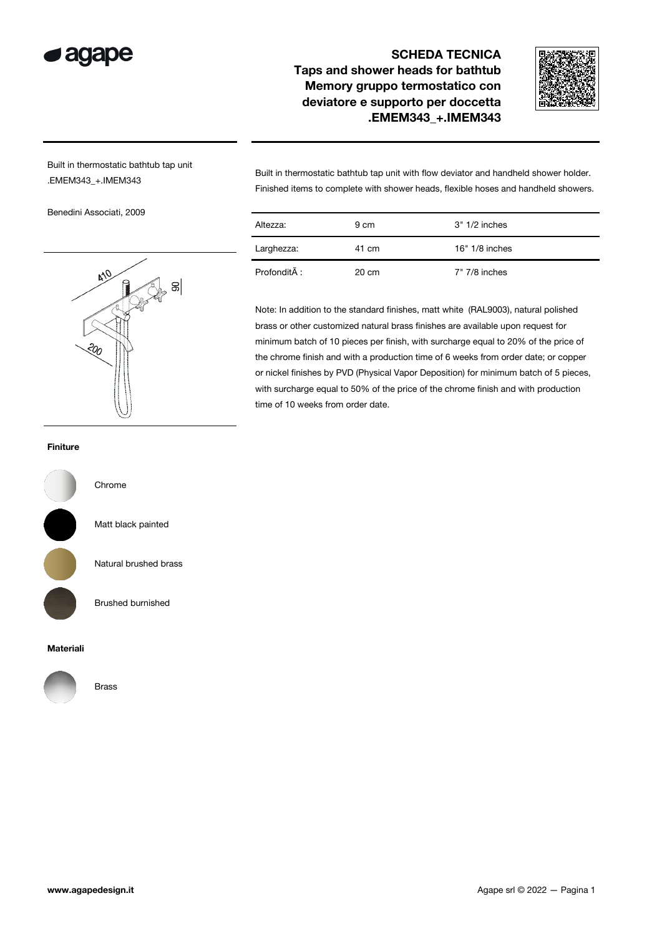

## SCHEDA TECNICA Taps and shower heads for bathtub Memory gruppo termostatico con deviatore e supporto per doccetta .EMEM343\_+.IMEM343



Built in thermostatic bathtub tap unit .EMEM343\_+.IMEM343

Benedini Associati, 2009



Built in thermostatic bathtub tap unit with flow deviator and handheld shower holder. Finished items to complete with shower heads, flexible hoses and handheld showers.

| Altezza:     | 9 cm  | $3" 1/2$ inches  |
|--------------|-------|------------------|
| Larghezza:   | 41 cm | $16" 1/8$ inches |
| Profondità : | 20 cm | 7" 7/8 inches    |

Note: In addition to the standard finishes, matt white (RAL9003), natural polished brass or other customized natural brass finishes are available upon request for minimum batch of 10 pieces per finish, with surcharge equal to 20% of the price of the chrome finish and with a production time of 6 weeks from order date; or copper or nickel finishes by PVD (Physical Vapor Deposition) for minimum batch of 5 pieces, with surcharge equal to 50% of the price of the chrome finish and with production time of 10 weeks from order date.

## Finiture



Natural brushed brass

Matt black painted

Chrome

Brushed burnished

## Materiali



Brass